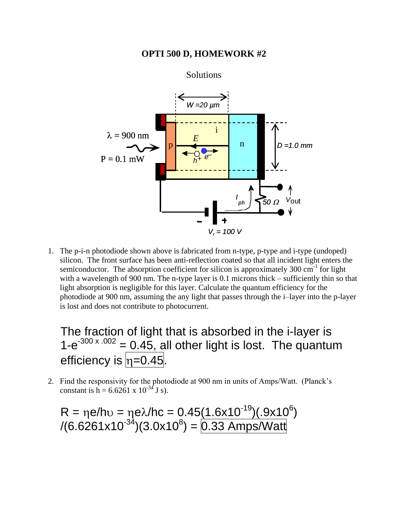## **OPTI 500 D, HOMEWORK #2**



1. The p-i-n photodiode shown above is fabricated from n-type, p-type and i-type (undoped) silicon. The front surface has been anti-reflection coated so that all incident light enters the semiconductor. The absorption coefficient for silicon is approximately  $300 \text{ cm}^{-1}$  for light with a wavelength of 900 nm. The n-type layer is 0.1 microns thick – sufficiently thin so that light absorption is negligible for this layer. Calculate the quantum efficiency for the photodiode at 900 nm, assuming the any light that passes through the i–layer into the p-layer is lost and does not contribute to photocurrent.

## The fraction of light that is absorbed in the i-layer is  $1-e^{-300 \times .002}$  = 0.45, all other light is lost. The quantum efficiency is  $n=0.45$ .

2. Find the responsivity for the photodiode at 900 nm in units of Amps/Watt. (Planck's constant is h = 6.6261 x  $10^{-34}$  J s).

 $R = \eta e/hv = \eta e \lambda/hc = 0.45(1.6x10^{-19})(.9x10^6)$  $(6.6261x10^{-34})(3.0x10^8) = 0.33$  Amps/Watt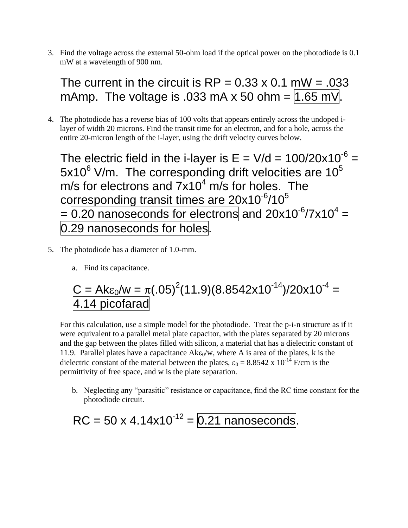3. Find the voltage across the external 50-ohm load if the optical power on the photodiode is 0.1 mW at a wavelength of 900 nm.

The current in the circuit is  $RP = 0.33 \times 0.1$  mW = .033 mAmp. The voltage is .033 mA x 50 ohm =  $1.65$  mV.

4. The photodiode has a reverse bias of 100 volts that appears entirely across the undoped ilayer of width 20 microns. Find the transit time for an electron, and for a hole, across the entire 20-micron length of the i-layer, using the drift velocity curves below.

The electric field in the i-layer is  $E = V/d = 100/20x10^{-6}$  $5x10^6$  V/m. The corresponding drift velocities are  $10^5$ m/s for electrons and  $7\times10^4$  m/s for holes. The corresponding transit times are  $20x10^{-6}$ /10<sup>5</sup>  $= 0.20$  nanoseconds for electrons and 20x10<sup>-6</sup>/7x10<sup>4</sup> = 0.29 nanoseconds for holes.

- 5. The photodiode has a diameter of 1.0-mm.
	- a. Find its capacitance.

$$
C = Ak\varepsilon_0/w = \pi(.05)^2(11.9)(8.8542x10^{-14})/20x10^{-4} = 4.14 \text{ picofarad}
$$

For this calculation, use a simple model for the photodiode. Treat the p-i-n structure as if it were equivalent to a parallel metal plate capacitor, with the plates separated by 20 microns and the gap between the plates filled with silicon, a material that has a dielectric constant of 11.9. Parallel plates have a capacitance  $A k \epsilon_0/w$ , where A is area of the plates, k is the dielectric constant of the material between the plates,  $\varepsilon_0 = 8.8542 \times 10^{-14}$  F/cm is the permittivity of free space, and w is the plate separation.

b. Neglecting any "parasitic" resistance or capacitance, find the RC time constant for the photodiode circuit.

 $RC = 50 \times 4.14 \times 10^{-12} = 0.21$  nanoseconds.